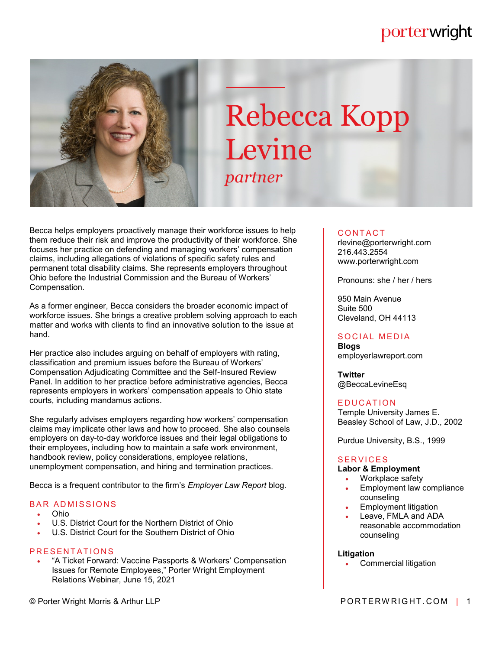# porterwright



# Rebecca Kopp Levine *partner*

Becca helps employers proactively manage their workforce issues to help them reduce their risk and improve the productivity of their workforce. She focuses her practice on defending and managing workers' compensation claims, including allegations of violations of specific safety rules and permanent total disability claims. She represents employers throughout Ohio before the Industrial Commission and the Bureau of Workers' Compensation.

As a former engineer, Becca considers the broader economic impact of workforce issues. She brings a creative problem solving approach to each matter and works with clients to find an innovative solution to the issue at hand.

Her practice also includes arguing on behalf of employers with rating, classification and premium issues before the Bureau of Workers' Compensation Adjudicating Committee and the Self-Insured Review Panel. In addition to her practice before administrative agencies, Becca represents employers in workers' compensation appeals to Ohio state courts, including mandamus actions.

She regularly advises employers regarding how workers' compensation claims may implicate other laws and how to proceed. She also counsels employers on day-to-day workforce issues and their legal obligations to their employees, including how to maintain a safe work environment, handbook review, policy considerations, employee relations, unemployment compensation, and hiring and termination practices.

Becca is a frequent contributor to the firm's *Employer Law Report* blog.

#### **BAR ADMISSIONS**

- Ohio
- U.S. District Court for the Northern District of Ohio
- U.S. District Court for the Southern District of Ohio

#### PRESENTATIONS

 "A Ticket Forward: Vaccine Passports & Workers' Compensation Issues for Remote Employees," Porter Wright Employment Relations Webinar, June 15, 2021

#### **CONTACT**

rlevine@porterwright.com 216.443.2554 www.porterwright.com

Pronouns: she / her / hers

950 Main Avenue Suite 500 Cleveland, OH 44113

#### SOCIAL MEDIA

**Blogs** employerlawreport.com

**Twitter** @BeccaLevineEsq

#### **EDUCATION**

Temple University James E. Beasley School of Law, J.D., 2002

Purdue University, B.S., 1999

#### **SERVICES**

#### **Labor & Employment**

- Workplace safety
- Employment law compliance counseling
- Employment litigation
- Leave, FMLA and ADA reasonable accommodation counseling

#### **Litigation**

Commercial litigation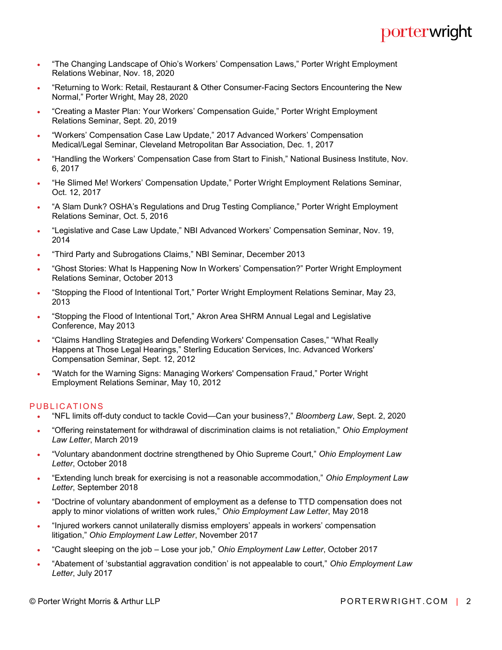- . "The Changing Landscape of Ohio's Workers' Compensation Laws," Porter Wright Employment Relations Webinar, Nov. 18, 2020
- "Returning to Work: Retail, Restaurant & Other Consumer-Facing Sectors Encountering the New Normal," Porter Wright, May 28, 2020
- "Creating a Master Plan: Your Workers' Compensation Guide," Porter Wright Employment Relations Seminar, Sept. 20, 2019
- "Workers' Compensation Case Law Update," 2017 Advanced Workers' Compensation Medical/Legal Seminar, Cleveland Metropolitan Bar Association, Dec. 1, 2017
- "Handling the Workers' Compensation Case from Start to Finish," National Business Institute, Nov. 6, 2017
- "He Slimed Me! Workers' Compensation Update," Porter Wright Employment Relations Seminar, Oct. 12, 2017
- "A Slam Dunk? OSHA's Regulations and Drug Testing Compliance," Porter Wright Employment Relations Seminar, Oct. 5, 2016
- "Legislative and Case Law Update," NBI Advanced Workers' Compensation Seminar, Nov. 19, 2014
- "Third Party and Subrogations Claims," NBI Seminar, December 2013
- "Ghost Stories: What Is Happening Now In Workers' Compensation?" Porter Wright Employment Relations Seminar, October 2013
- "Stopping the Flood of Intentional Tort," Porter Wright Employment Relations Seminar, May 23, 2013
- "Stopping the Flood of Intentional Tort," Akron Area SHRM Annual Legal and Legislative Conference, May 2013
- "Claims Handling Strategies and Defending Workers' Compensation Cases," "What Really Happens at Those Legal Hearings," Sterling Education Services, Inc. Advanced Workers' Compensation Seminar, Sept. 12, 2012
- "Watch for the Warning Signs: Managing Workers' Compensation Fraud," Porter Wright Employment Relations Seminar, May 10, 2012

#### PUBLICATIONS

- "NFL limits off-duty conduct to tackle Covid—Can your business?," *Bloomberg Law*, Sept. 2, 2020
- "Offering reinstatement for withdrawal of discrimination claims is not retaliation," *Ohio Employment Law Letter*, March 2019
- "Voluntary abandonment doctrine strengthened by Ohio Supreme Court," *Ohio Employment Law Letter*, October 2018
- "Extending lunch break for exercising is not a reasonable accommodation," *Ohio Employment Law Letter*, September 2018
- "Doctrine of voluntary abandonment of employment as a defense to TTD compensation does not apply to minor violations of written work rules," *Ohio Employment Law Letter*, May 2018
- "Injured workers cannot unilaterally dismiss employers' appeals in workers' compensation litigation," *Ohio Employment Law Letter*, November 2017
- "Caught sleeping on the job Lose your job," *Ohio Employment Law Letter*, October 2017
- "Abatement of 'substantial aggravation condition' is not appealable to court," *Ohio Employment Law Letter*, July 2017